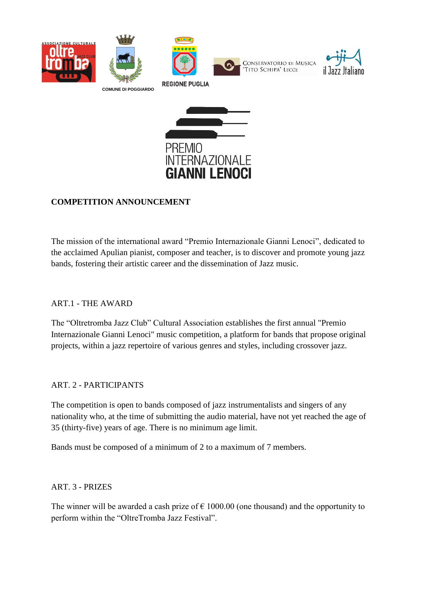





### **COMPETITION ANNOUNCEMENT**

The mission of the international award "Premio Internazionale Gianni Lenoci", dedicated to the acclaimed Apulian pianist, composer and teacher, is to discover and promote young jazz bands, fostering their artistic career and the dissemination of Jazz music.

### ART.1 - THE AWARD

The "Oltretromba Jazz Club" Cultural Association establishes the first annual "Premio Internazionale Gianni Lenoci" music competition, a platform for bands that propose original projects, within a jazz repertoire of various genres and styles, including crossover jazz.

#### ART. 2 - PARTICIPANTS

The competition is open to bands composed of jazz instrumentalists and singers of any nationality who, at the time of submitting the audio material, have not yet reached the age of 35 (thirty-five) years of age. There is no minimum age limit.

Bands must be composed of a minimum of 2 to a maximum of 7 members.

#### ART. 3 - PRIZES

The winner will be awarded a cash prize of  $\epsilon$  1000.00 (one thousand) and the opportunity to perform within the "OltreTromba Jazz Festival".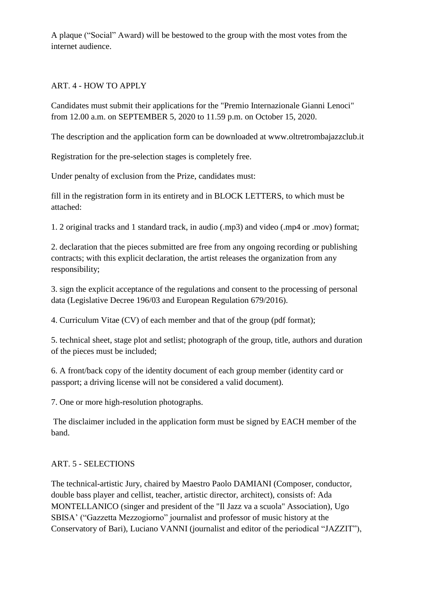A plaque ("Social" Award) will be bestowed to the group with the most votes from the internet audience.

#### ART. 4 - HOW TO APPLY

Candidates must submit their applications for the "Premio Internazionale Gianni Lenoci" from 12.00 a.m. on SEPTEMBER 5, 2020 to 11.59 p.m. on October 15, 2020.

The description and the application form can be downloaded at www.oltretrombajazzclub.it

Registration for the pre-selection stages is completely free.

Under penalty of exclusion from the Prize, candidates must:

fill in the registration form in its entirety and in BLOCK LETTERS, to which must be attached:

1. 2 original tracks and 1 standard track, in audio (.mp3) and video (.mp4 or .mov) format;

2. declaration that the pieces submitted are free from any ongoing recording or publishing contracts; with this explicit declaration, the artist releases the organization from any responsibility;

3. sign the explicit acceptance of the regulations and consent to the processing of personal data (Legislative Decree 196/03 and European Regulation 679/2016).

4. Curriculum Vitae (CV) of each member and that of the group (pdf format);

5. technical sheet, stage plot and setlist; photograph of the group, title, authors and duration of the pieces must be included;

6. A front/back copy of the identity document of each group member (identity card or passport; a driving license will not be considered a valid document).

7. One or more high-resolution photographs.

The disclaimer included in the application form must be signed by EACH member of the band.

#### ART. 5 - SELECTIONS

The technical-artistic Jury, chaired by Maestro Paolo DAMIANI (Composer, conductor, double bass player and cellist, teacher, artistic director, architect), consists of: Ada MONTELLANICO (singer and president of the "Il Jazz va a scuola" Association), Ugo SBISA' ("Gazzetta Mezzogiorno" journalist and professor of music history at the Conservatory of Bari), Luciano VANNI (journalist and editor of the periodical "JAZZIT"),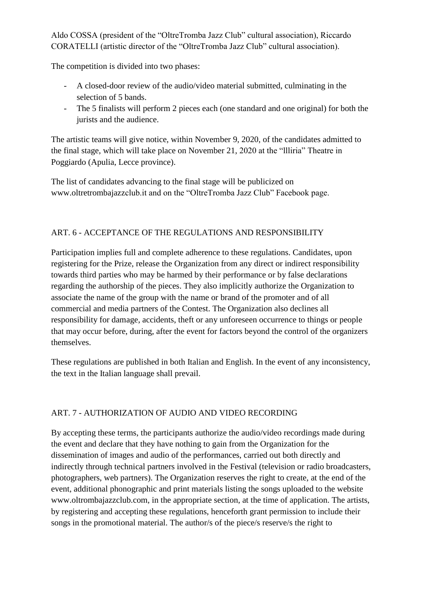Aldo COSSA (president of the "OltreTromba Jazz Club" cultural association), Riccardo CORATELLI (artistic director of the "OltreTromba Jazz Club" cultural association).

The competition is divided into two phases:

- A closed-door review of the audio/video material submitted, culminating in the selection of 5 bands.
- The 5 finalists will perform 2 pieces each (one standard and one original) for both the jurists and the audience.

The artistic teams will give notice, within November 9, 2020, of the candidates admitted to the final stage, which will take place on November 21, 2020 at the "llliria" Theatre in Poggiardo (Apulia, Lecce province).

The list of candidates advancing to the final stage will be publicized on www.oltretrombajazzclub.it and on the "OltreTromba Jazz Club" Facebook page.

# ART. 6 - ACCEPTANCE OF THE REGULATIONS AND RESPONSIBILITY

Participation implies full and complete adherence to these regulations. Candidates, upon registering for the Prize, release the Organization from any direct or indirect responsibility towards third parties who may be harmed by their performance or by false declarations regarding the authorship of the pieces. They also implicitly authorize the Organization to associate the name of the group with the name or brand of the promoter and of all commercial and media partners of the Contest. The Organization also declines all responsibility for damage, accidents, theft or any unforeseen occurrence to things or people that may occur before, during, after the event for factors beyond the control of the organizers themselves.

These regulations are published in both Italian and English. In the event of any inconsistency, the text in the Italian language shall prevail.

# ART. 7 - AUTHORIZATION OF AUDIO AND VIDEO RECORDING

By accepting these terms, the participants authorize the audio/video recordings made during the event and declare that they have nothing to gain from the Organization for the dissemination of images and audio of the performances, carried out both directly and indirectly through technical partners involved in the Festival (television or radio broadcasters, photographers, web partners). The Organization reserves the right to create, at the end of the event, additional phonographic and print materials listing the songs uploaded to the website www.oltrombajazzclub.com, in the appropriate section, at the time of application. The artists, by registering and accepting these regulations, henceforth grant permission to include their songs in the promotional material. The author/s of the piece/s reserve/s the right to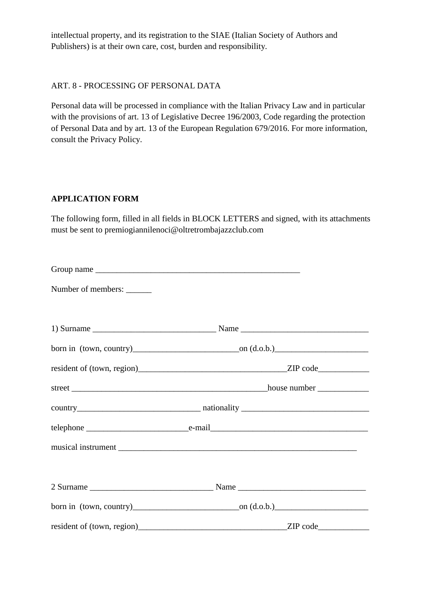intellectual property, and its registration to the SIAE (Italian Society of Authors and Publishers) is at their own care, cost, burden and responsibility.

#### ART. 8 - PROCESSING OF PERSONAL DATA

Personal data will be processed in compliance with the Italian Privacy Law and in particular with the provisions of art. 13 of Legislative Decree 196/2003, Code regarding the protection of Personal Data and by art. 13 of the European Regulation 679/2016. For more information, consult the Privacy Policy.

#### **APPLICATION FORM**

The following form, filled in all fields in BLOCK LETTERS and signed, with its attachments must be sent to premiogiannilenoci@oltretrombajazzclub.com

| Number of members: |                                                                                                                                                                                                                                              |  |
|--------------------|----------------------------------------------------------------------------------------------------------------------------------------------------------------------------------------------------------------------------------------------|--|
|                    |                                                                                                                                                                                                                                              |  |
|                    |                                                                                                                                                                                                                                              |  |
|                    |                                                                                                                                                                                                                                              |  |
|                    |                                                                                                                                                                                                                                              |  |
|                    |                                                                                                                                                                                                                                              |  |
|                    |                                                                                                                                                                                                                                              |  |
|                    |                                                                                                                                                                                                                                              |  |
|                    |                                                                                                                                                                                                                                              |  |
|                    |                                                                                                                                                                                                                                              |  |
|                    | resident of (town, region)<br>and the contract of the contract of the contract of the contract of the contract of the contract of the contract of the contract of the contract of the contract of the contract of the contract o<br>ZIP code |  |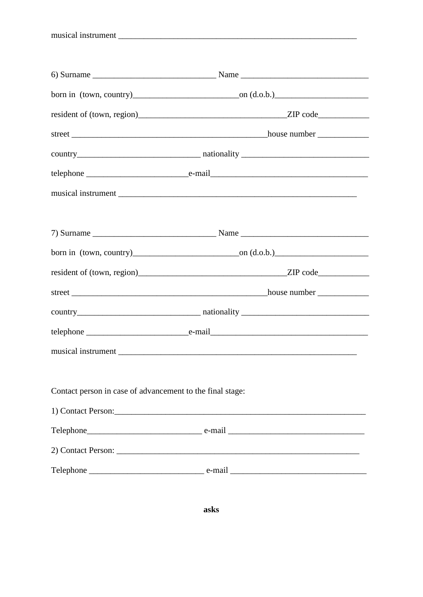musical instrument

| Contact person in case of advancement to the final stage: |                                                                                                                                                                                                                               |
|-----------------------------------------------------------|-------------------------------------------------------------------------------------------------------------------------------------------------------------------------------------------------------------------------------|
|                                                           | 1) Contact Person: 2008 and 2008 and 2008 and 2008 and 2008 and 2008 and 2008 and 2008 and 2008 and 2008 and 2008 and 2008 and 2008 and 2008 and 2008 and 2008 and 2008 and 2008 and 2008 and 2008 and 2008 and 2008 and 2008 |
|                                                           |                                                                                                                                                                                                                               |
|                                                           |                                                                                                                                                                                                                               |
|                                                           |                                                                                                                                                                                                                               |

asks